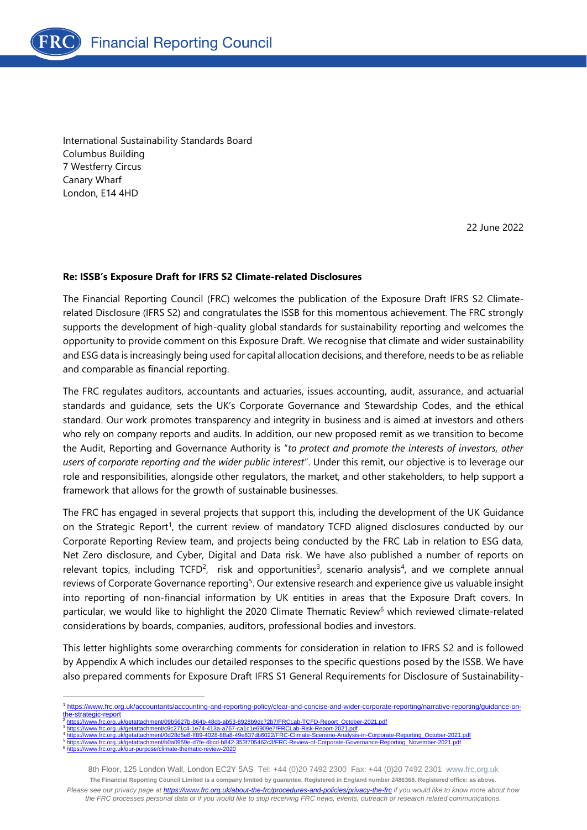

International Sustainability Standards Board Columbus Building 7 Westferry Circus Canary Wharf London, E14 4HD

22 June 2022

#### **Re: ISSB's Exposure Draft for IFRS S2 Climate-related Disclosures**

The Financial Reporting Council (FRC) welcomes the publication of the Exposure Draft IFRS S2 Climaterelated Disclosure (IFRS S2) and congratulates the ISSB for this momentous achievement. The FRC strongly supports the development of high-quality global standards for sustainability reporting and welcomes the opportunity to provide comment on this Exposure Draft. We recognise that climate and wider sustainability and ESG data is increasingly being used for capital allocation decisions, and therefore, needs to be as reliable and comparable as financial reporting.

The FRC regulates auditors, accountants and actuaries, issues accounting, audit, assurance, and actuarial standards and guidance, sets the UK's Corporate Governance and Stewardship Codes, and the ethical standard. Our work promotes transparency and integrity in business and is aimed at investors and others who rely on company reports and audits. In addition, our new proposed remit as we transition to become the Audit, Reporting and Governance Authority is "*to protect and promote the interests of investors, other users of corporate reporting and the wider public interest*". Under this remit, our objective is to leverage our role and responsibilities, alongside other regulators, the market, and other stakeholders, to help support a framework that allows for the growth of sustainable businesses.

The FRC has engaged in several projects that support this, including the development of the UK Guidance on the Strategic Report<sup>1</sup>, the current review of mandatory TCFD aligned disclosures conducted by our Corporate Reporting Review team, and projects being conducted by the FRC Lab in relation to ESG data, Net Zero disclosure, and Cyber, Digital and Data risk. We have also published a number of reports on relevant topics, including TCFD<sup>2</sup>, risk and opportunities<sup>3</sup>, scenario analysis<sup>4</sup>, and we complete annual reviews of Corporate Governance reporting<sup>5</sup>. Our extensive research and experience give us valuable insight into reporting of non-financial information by UK entities in areas that the Exposure Draft covers. In particular, we would like to highlight the 2020 Climate Thematic Review<sup>6</sup> which reviewed climate-related considerations by boards, companies, auditors, professional bodies and investors.

This letter highlights some overarching comments for consideration in relation to IFRS S2 and is followed by Appendix A which includes our detailed responses to the specific questions posed by the ISSB. We have also prepared comments for Exposure Draft IFRS S1 General Requirements for Disclosure of Sustainability-

[https://www.frc.org.uk/getattachment/09b5627b-864b-48cb-ab53-8928b9dc72b7/FRCLab-TCFD-Report\\_October-2021.pdf](https://www.frc.org.uk/getattachment/09b5627b-864b-48cb-ab53-8928b9dc72b7/FRCLab-TCFD-Report_October-2021.pdf) 3

<https://www.frc.org.uk/our-purpose/climate-thematic-review-2020>

6

<https://www.frc.org.uk/getattachment/c9c271c4-1e74-413a-a767-ca1c1e6909e7/FRCLab-Risk-Report-2021.pdf> 4 https://www.fracetattachment/0d2837db6022/FRC-Climate-Scenario-Analysis-in-Corporate-Reporting\_October-2021.pdf 5 [https://www.frc.org.uk/getattachment/b0a0959e-d7fe-4bcd-b842-353f705462c3/FRC-Review-of-Corporate-Governance-Reporting\\_November-2021.pdf](https://www.frc.org.uk/getattachment/b0a0959e-d7fe-4bcd-b842-353f705462c3/FRC-Review-of-Corporate-Governance-Reporting_November-2021.pdf)

<sup>1</sup> [https://www.frc.org.uk/accountants/accounting-and-reporting-policy/clear-and-concise-and-wider-corporate-reporting/narrative-reporting/guidance-on](https://www.frc.org.uk/accountants/accounting-and-reporting-policy/clear-and-concise-and-wider-corporate-reporting/narrative-reporting/guidance-on-the-strategic-report)[the-strategic-report](https://www.frc.org.uk/accountants/accounting-and-reporting-policy/clear-and-concise-and-wider-corporate-reporting/narrative-reporting/guidance-on-the-strategic-report) 2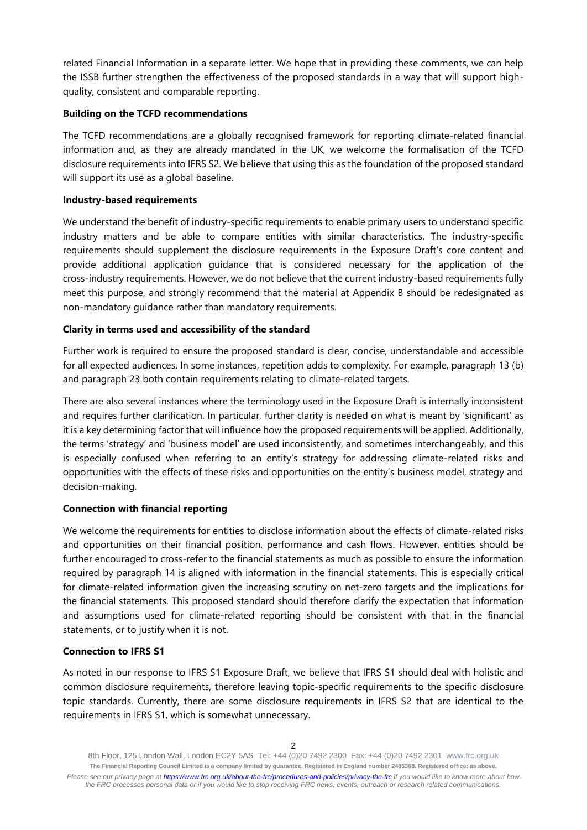related Financial Information in a separate letter. We hope that in providing these comments, we can help the ISSB further strengthen the effectiveness of the proposed standards in a way that will support highquality, consistent and comparable reporting.

#### **Building on the TCFD recommendations**

The TCFD recommendations are a globally recognised framework for reporting climate-related financial information and, as they are already mandated in the UK, we welcome the formalisation of the TCFD disclosure requirements into IFRS S2. We believe that using this as the foundation of the proposed standard will support its use as a global baseline.

#### **Industry-based requirements**

We understand the benefit of industry-specific requirements to enable primary users to understand specific industry matters and be able to compare entities with similar characteristics. The industry-specific requirements should supplement the disclosure requirements in the Exposure Draft's core content and provide additional application guidance that is considered necessary for the application of the cross-industry requirements. However, we do not believe that the current industry-based requirements fully meet this purpose, and strongly recommend that the material at Appendix B should be redesignated as non-mandatory guidance rather than mandatory requirements.

#### **Clarity in terms used and accessibility of the standard**

Further work is required to ensure the proposed standard is clear, concise, understandable and accessible for all expected audiences. In some instances, repetition adds to complexity. For example, paragraph 13 (b) and paragraph 23 both contain requirements relating to climate-related targets.

There are also several instances where the terminology used in the Exposure Draft is internally inconsistent and requires further clarification. In particular, further clarity is needed on what is meant by 'significant' as it is a key determining factor that will influence how the proposed requirements will be applied. Additionally, the terms 'strategy' and 'business model' are used inconsistently, and sometimes interchangeably, and this is especially confused when referring to an entity's strategy for addressing climate-related risks and opportunities with the effects of these risks and opportunities on the entity's business model, strategy and decision-making.

#### **Connection with financial reporting**

We welcome the requirements for entities to disclose information about the effects of climate-related risks and opportunities on their financial position, performance and cash flows. However, entities should be further encouraged to cross-refer to the financial statements as much as possible to ensure the information required by paragraph 14 is aligned with information in the financial statements. This is especially critical for climate-related information given the increasing scrutiny on net-zero targets and the implications for the financial statements. This proposed standard should therefore clarify the expectation that information and assumptions used for climate-related reporting should be consistent with that in the financial statements, or to justify when it is not.

### **Connection to IFRS S1**

As noted in our response to IFRS S1 Exposure Draft, we believe that IFRS S1 should deal with holistic and common disclosure requirements, therefore leaving topic-specific requirements to the specific disclosure topic standards. Currently, there are some disclosure requirements in IFRS S2 that are identical to the requirements in IFRS S1, which is somewhat unnecessary.

<sup>8</sup>th Floor, 125 London Wall, London EC2Y 5AS Tel: +44 (0)20 7492 2300 Fax: +44 (0)20 7492 2301 [www.frc.org.uk](http://www.frc.org.uk/) **The Financial Reporting Council Limited is a company limited by guarantee. Registered in England number 2486368. Registered office: as above.** *Please see our privacy page at [https://www.frc.org.uk/about-the-frc/procedures-and-policies/privacy-the-frc](https://protect-eu.mimecast.com/s/meSwCVPQETYrOJIgd9IO) if you would like to know more about how the FRC processes personal data or if you would like to stop receiving FRC news, events, outreach or research related communications.*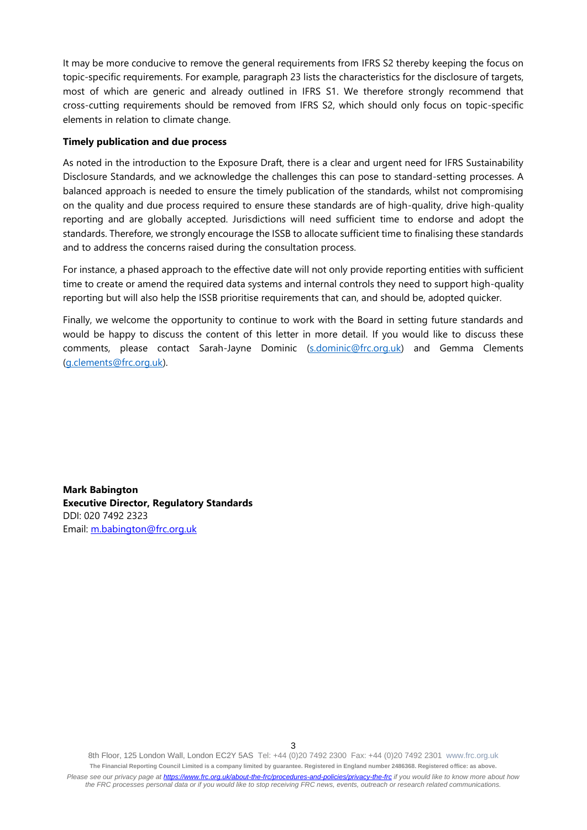It may be more conducive to remove the general requirements from IFRS S2 thereby keeping the focus on topic-specific requirements. For example, paragraph 23 lists the characteristics for the disclosure of targets, most of which are generic and already outlined in IFRS S1. We therefore strongly recommend that cross-cutting requirements should be removed from IFRS S2, which should only focus on topic-specific elements in relation to climate change.

#### **Timely publication and due process**

As noted in the introduction to the Exposure Draft, there is a clear and urgent need for IFRS Sustainability Disclosure Standards, and we acknowledge the challenges this can pose to standard-setting processes. A balanced approach is needed to ensure the timely publication of the standards, whilst not compromising on the quality and due process required to ensure these standards are of high-quality, drive high-quality reporting and are globally accepted. Jurisdictions will need sufficient time to endorse and adopt the standards. Therefore, we strongly encourage the ISSB to allocate sufficient time to finalising these standards and to address the concerns raised during the consultation process.

For instance, a phased approach to the effective date will not only provide reporting entities with sufficient time to create or amend the required data systems and internal controls they need to support high-quality reporting but will also help the ISSB prioritise requirements that can, and should be, adopted quicker.

Finally, we welcome the opportunity to continue to work with the Board in setting future standards and would be happy to discuss the content of this letter in more detail. If you would like to discuss these comments, please contact Sarah-Jayne Dominic [\(s.dominic@frc.org.uk\)](mailto:s.dominic@frc.org.uk) and Gemma Clements [\(g.clements@frc.org.uk\)](mailto:g.clements@frc.org.uk).

**Mark Babington Executive Director, Regulatory Standards** DDI: 020 7492 2323 Email: [m.babington@frc.org.uk](mailto:m.babington@frc.org.uk)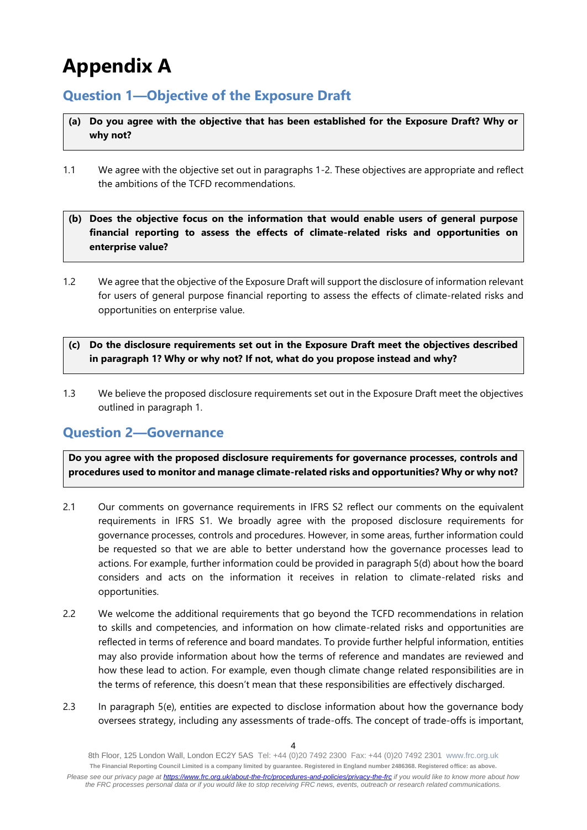# **Appendix A**

# **Question 1—Objective of the Exposure Draft**

- **(a) Do you agree with the objective that has been established for the Exposure Draft? Why or why not?**
- 1.1 We agree with the objective set out in paragraphs 1-2. These objectives are appropriate and reflect the ambitions of the TCFD recommendations.
- **(b) Does the objective focus on the information that would enable users of general purpose financial reporting to assess the effects of climate-related risks and opportunities on enterprise value?**
- 1.2 We agree that the objective of the Exposure Draft will support the disclosure of information relevant for users of general purpose financial reporting to assess the effects of climate-related risks and opportunities on enterprise value.
- **(c) Do the disclosure requirements set out in the Exposure Draft meet the objectives described in paragraph 1? Why or why not? If not, what do you propose instead and why?**
- 1.3 We believe the proposed disclosure requirements set out in the Exposure Draft meet the objectives outlined in paragraph 1.

# **Question 2—Governance**

**Do you agree with the proposed disclosure requirements for governance processes, controls and procedures used to monitor and manage climate-related risks and opportunities? Why or why not?**

- 2.1 Our comments on governance requirements in IFRS S2 reflect our comments on the equivalent requirements in IFRS S1. We broadly agree with the proposed disclosure requirements for governance processes, controls and procedures. However, in some areas, further information could be requested so that we are able to better understand how the governance processes lead to actions. For example, further information could be provided in paragraph 5(d) about how the board considers and acts on the information it receives in relation to climate-related risks and opportunities.
- 2.2 We welcome the additional requirements that go beyond the TCFD recommendations in relation to skills and competencies, and information on how climate-related risks and opportunities are reflected in terms of reference and board mandates. To provide further helpful information, entities may also provide information about how the terms of reference and mandates are reviewed and how these lead to action. For example, even though climate change related responsibilities are in the terms of reference, this doesn't mean that these responsibilities are effectively discharged.
- 2.3 In paragraph 5(e), entities are expected to disclose information about how the governance body oversees strategy, including any assessments of trade-offs. The concept of trade-offs is important,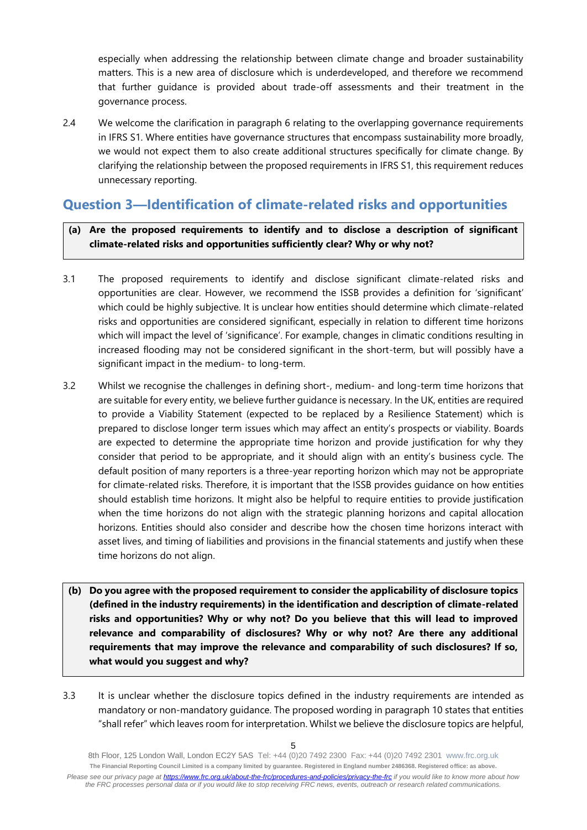especially when addressing the relationship between climate change and broader sustainability matters. This is a new area of disclosure which is underdeveloped, and therefore we recommend that further guidance is provided about trade-off assessments and their treatment in the governance process.

2.4 We welcome the clarification in paragraph 6 relating to the overlapping governance requirements in IFRS S1. Where entities have governance structures that encompass sustainability more broadly, we would not expect them to also create additional structures specifically for climate change. By clarifying the relationship between the proposed requirements in IFRS S1, this requirement reduces unnecessary reporting.

# **Question 3—Identification of climate-related risks and opportunities**

**(a) Are the proposed requirements to identify and to disclose a description of significant climate-related risks and opportunities sufficiently clear? Why or why not?**

- 3.1 The proposed requirements to identify and disclose significant climate-related risks and opportunities are clear. However, we recommend the ISSB provides a definition for 'significant' which could be highly subjective. It is unclear how entities should determine which climate-related risks and opportunities are considered significant, especially in relation to different time horizons which will impact the level of 'significance'. For example, changes in climatic conditions resulting in increased flooding may not be considered significant in the short-term, but will possibly have a significant impact in the medium- to long-term.
- 3.2 Whilst we recognise the challenges in defining short-, medium- and long-term time horizons that are suitable for every entity, we believe further guidance is necessary. In the UK, entities are required to provide a Viability Statement (expected to be replaced by a Resilience Statement) which is prepared to disclose longer term issues which may affect an entity's prospects or viability. Boards are expected to determine the appropriate time horizon and provide justification for why they consider that period to be appropriate, and it should align with an entity's business cycle. The default position of many reporters is a three-year reporting horizon which may not be appropriate for climate-related risks. Therefore, it is important that the ISSB provides guidance on how entities should establish time horizons. It might also be helpful to require entities to provide justification when the time horizons do not align with the strategic planning horizons and capital allocation horizons. Entities should also consider and describe how the chosen time horizons interact with asset lives, and timing of liabilities and provisions in the financial statements and justify when these time horizons do not align.
- **(b) Do you agree with the proposed requirement to consider the applicability of disclosure topics (defined in the industry requirements) in the identification and description of climate-related risks and opportunities? Why or why not? Do you believe that this will lead to improved relevance and comparability of disclosures? Why or why not? Are there any additional requirements that may improve the relevance and comparability of such disclosures? If so, what would you suggest and why?**
- 3.3 It is unclear whether the disclosure topics defined in the industry requirements are intended as mandatory or non-mandatory guidance. The proposed wording in paragraph 10 states that entities "shall refer" which leaves room for interpretation. Whilst we believe the disclosure topics are helpful,

<sup>8</sup>th Floor, 125 London Wall, London EC2Y 5AS Tel: +44 (0)20 7492 2300 Fax: +44 (0)20 7492 2301 [www.frc.org.uk](http://www.frc.org.uk/) **The Financial Reporting Council Limited is a company limited by guarantee. Registered in England number 2486368. Registered office: as above.** *Please see our privacy page at [https://www.frc.org.uk/about-the-frc/procedures-and-policies/privacy-the-frc](https://protect-eu.mimecast.com/s/meSwCVPQETYrOJIgd9IO) if you would like to know more about how the FRC processes personal data or if you would like to stop receiving FRC news, events, outreach or research related communications.*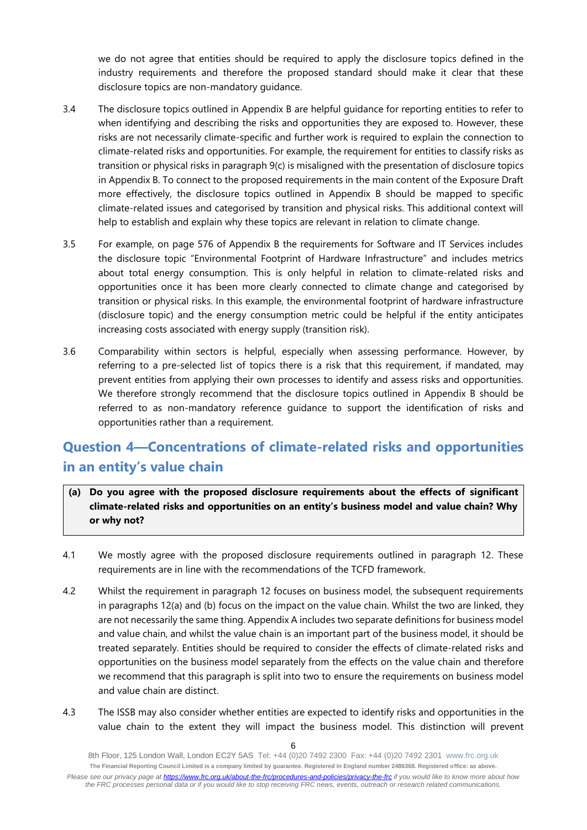we do not agree that entities should be required to apply the disclosure topics defined in the industry requirements and therefore the proposed standard should make it clear that these disclosure topics are non-mandatory guidance.

- 3.4 The disclosure topics outlined in Appendix B are helpful guidance for reporting entities to refer to when identifying and describing the risks and opportunities they are exposed to. However, these risks are not necessarily climate-specific and further work is required to explain the connection to climate-related risks and opportunities. For example, the requirement for entities to classify risks as transition or physical risks in paragraph 9(c) is misaligned with the presentation of disclosure topics in Appendix B. To connect to the proposed requirements in the main content of the Exposure Draft more effectively, the disclosure topics outlined in Appendix B should be mapped to specific climate-related issues and categorised by transition and physical risks. This additional context will help to establish and explain why these topics are relevant in relation to climate change.
- 3.5 For example, on page 576 of Appendix B the requirements for Software and IT Services includes the disclosure topic "Environmental Footprint of Hardware Infrastructure" and includes metrics about total energy consumption. This is only helpful in relation to climate-related risks and opportunities once it has been more clearly connected to climate change and categorised by transition or physical risks. In this example, the environmental footprint of hardware infrastructure (disclosure topic) and the energy consumption metric could be helpful if the entity anticipates increasing costs associated with energy supply (transition risk).
- 3.6 Comparability within sectors is helpful, especially when assessing performance. However, by referring to a pre-selected list of topics there is a risk that this requirement, if mandated, may prevent entities from applying their own processes to identify and assess risks and opportunities. We therefore strongly recommend that the disclosure topics outlined in Appendix B should be referred to as non-mandatory reference guidance to support the identification of risks and opportunities rather than a requirement.

# **Question 4—Concentrations of climate-related risks and opportunities in an entity's value chain**

- **(a) Do you agree with the proposed disclosure requirements about the effects of significant climate-related risks and opportunities on an entity's business model and value chain? Why or why not?**
- 4.1 We mostly agree with the proposed disclosure requirements outlined in paragraph 12. These requirements are in line with the recommendations of the TCFD framework.
- 4.2 Whilst the requirement in paragraph 12 focuses on business model, the subsequent requirements in paragraphs 12(a) and (b) focus on the impact on the value chain. Whilst the two are linked, they are not necessarily the same thing. Appendix A includes two separate definitions for business model and value chain, and whilst the value chain is an important part of the business model, it should be treated separately. Entities should be required to consider the effects of climate-related risks and opportunities on the business model separately from the effects on the value chain and therefore we recommend that this paragraph is split into two to ensure the requirements on business model and value chain are distinct.
- 4.3 The ISSB may also consider whether entities are expected to identify risks and opportunities in the value chain to the extent they will impact the business model. This distinction will prevent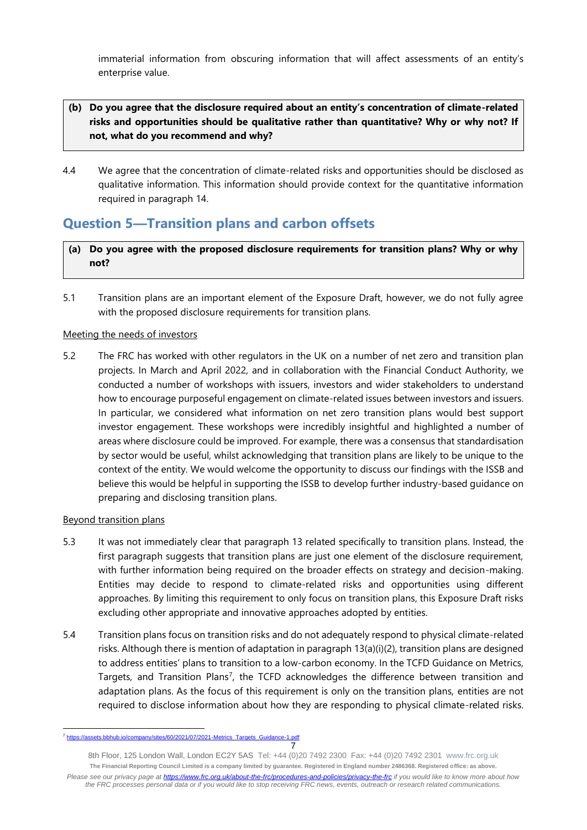immaterial information from obscuring information that will affect assessments of an entity's enterprise value.

### **(b) Do you agree that the disclosure required about an entity's concentration of climate-related risks and opportunities should be qualitative rather than quantitative? Why or why not? If not, what do you recommend and why?**

4.4 We agree that the concentration of climate-related risks and opportunities should be disclosed as qualitative information. This information should provide context for the quantitative information required in paragraph 14.

# **Question 5—Transition plans and carbon offsets**

- **(a) Do you agree with the proposed disclosure requirements for transition plans? Why or why not?**
- 5.1 Transition plans are an important element of the Exposure Draft, however, we do not fully agree with the proposed disclosure requirements for transition plans.

### Meeting the needs of investors

5.2 The FRC has worked with other regulators in the UK on a number of net zero and transition plan projects. In March and April 2022, and in collaboration with the Financial Conduct Authority, we conducted a number of workshops with issuers, investors and wider stakeholders to understand how to encourage purposeful engagement on climate-related issues between investors and issuers. In particular, we considered what information on net zero transition plans would best support investor engagement. These workshops were incredibly insightful and highlighted a number of areas where disclosure could be improved. For example, there was a consensus that standardisation by sector would be useful, whilst acknowledging that transition plans are likely to be unique to the context of the entity. We would welcome the opportunity to discuss our findings with the ISSB and believe this would be helpful in supporting the ISSB to develop further industry-based guidance on preparing and disclosing transition plans.

#### Beyond transition plans

- 5.3 It was not immediately clear that paragraph 13 related specifically to transition plans. Instead, the first paragraph suggests that transition plans are just one element of the disclosure requirement, with further information being required on the broader effects on strategy and decision-making. Entities may decide to respond to climate-related risks and opportunities using different approaches. By limiting this requirement to only focus on transition plans, this Exposure Draft risks excluding other appropriate and innovative approaches adopted by entities.
- 5.4 Transition plans focus on transition risks and do not adequately respond to physical climate-related risks. Although there is mention of adaptation in paragraph 13(a)(i)(2), transition plans are designed to address entities' plans to transition to a low-carbon economy. In the TCFD Guidance on Metrics, Targets, and Transition Plans<sup>7</sup>, the TCFD acknowledges the difference between transition and adaptation plans. As the focus of this requirement is only on the transition plans, entities are not required to disclose information about how they are responding to physical climate-related risks.

<sup>7</sup> <sup>7</sup> [https://assets.bbhub.io/company/sites/60/2021/07/2021-Metrics\\_Targets\\_Guidance-1.pdf](https://assets.bbhub.io/company/sites/60/2021/07/2021-Metrics_Targets_Guidance-1.pdf)

<sup>8</sup>th Floor, 125 London Wall, London EC2Y 5AS Tel: +44 (0)20 7492 2300 Fax: +44 (0)20 7492 2301 [www.frc.org.uk](http://www.frc.org.uk/) **The Financial Reporting Council Limited is a company limited by guarantee. Registered in England number 2486368. Registered office: as above.** *Please see our privacy page at [https://www.frc.org.uk/about-the-frc/procedures-and-policies/privacy-the-frc](https://protect-eu.mimecast.com/s/meSwCVPQETYrOJIgd9IO) if you would like to know more about how the FRC processes personal data or if you would like to stop receiving FRC news, events, outreach or research related communications.*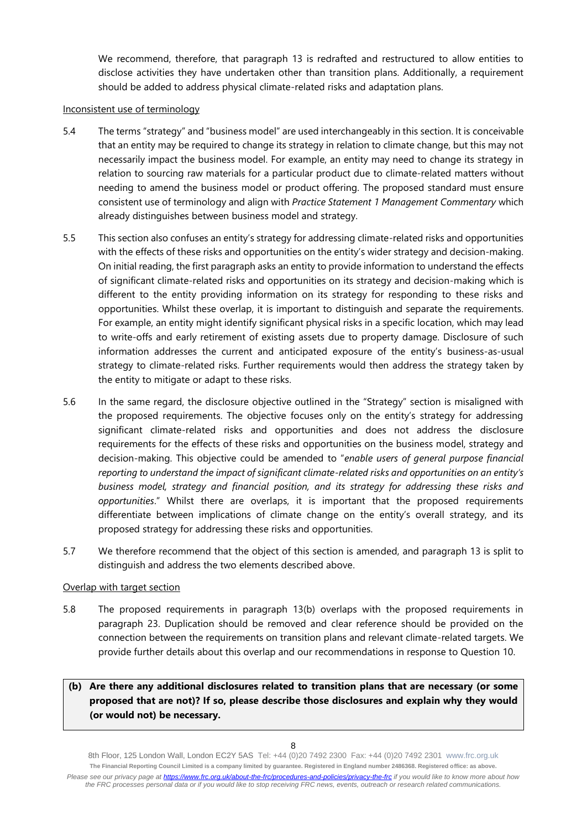We recommend, therefore, that paragraph 13 is redrafted and restructured to allow entities to disclose activities they have undertaken other than transition plans. Additionally, a requirement should be added to address physical climate-related risks and adaptation plans.

#### Inconsistent use of terminology

- 5.4 The terms "strategy" and "business model" are used interchangeably in this section. It is conceivable that an entity may be required to change its strategy in relation to climate change, but this may not necessarily impact the business model. For example, an entity may need to change its strategy in relation to sourcing raw materials for a particular product due to climate-related matters without needing to amend the business model or product offering. The proposed standard must ensure consistent use of terminology and align with *Practice Statement 1 Management Commentary* which already distinguishes between business model and strategy.
- 5.5 This section also confuses an entity's strategy for addressing climate-related risks and opportunities with the effects of these risks and opportunities on the entity's wider strategy and decision-making. On initial reading, the first paragraph asks an entity to provide information to understand the effects of significant climate-related risks and opportunities on its strategy and decision-making which is different to the entity providing information on its strategy for responding to these risks and opportunities. Whilst these overlap, it is important to distinguish and separate the requirements. For example, an entity might identify significant physical risks in a specific location, which may lead to write-offs and early retirement of existing assets due to property damage. Disclosure of such information addresses the current and anticipated exposure of the entity's business-as-usual strategy to climate-related risks. Further requirements would then address the strategy taken by the entity to mitigate or adapt to these risks.
- 5.6 In the same regard, the disclosure objective outlined in the "Strategy" section is misaligned with the proposed requirements. The objective focuses only on the entity's strategy for addressing significant climate-related risks and opportunities and does not address the disclosure requirements for the effects of these risks and opportunities on the business model, strategy and decision-making. This objective could be amended to "*enable users of general purpose financial reporting to understand the impact of significant climate-related risks and opportunities on an entity's business model, strategy and financial position, and its strategy for addressing these risks and opportunities*." Whilst there are overlaps, it is important that the proposed requirements differentiate between implications of climate change on the entity's overall strategy, and its proposed strategy for addressing these risks and opportunities.
- 5.7 We therefore recommend that the object of this section is amended, and paragraph 13 is split to distinguish and address the two elements described above.

#### Overlap with target section

5.8 The proposed requirements in paragraph 13(b) overlaps with the proposed requirements in paragraph 23. Duplication should be removed and clear reference should be provided on the connection between the requirements on transition plans and relevant climate-related targets. We provide further details about this overlap and our recommendations in response to Question 10.

### **(b) Are there any additional disclosures related to transition plans that are necessary (or some proposed that are not)? If so, please describe those disclosures and explain why they would (or would not) be necessary.**

8th Floor, 125 London Wall, London EC2Y 5AS Tel: +44 (0)20 7492 2300 Fax: +44 (0)20 7492 2301 [www.frc.org.uk](http://www.frc.org.uk/) **The Financial Reporting Council Limited is a company limited by guarantee. Registered in England number 2486368. Registered office: as above.** *Please see our privacy page at [https://www.frc.org.uk/about-the-frc/procedures-and-policies/privacy-the-frc](https://protect-eu.mimecast.com/s/meSwCVPQETYrOJIgd9IO) if you would like to know more about how the FRC processes personal data or if you would like to stop receiving FRC news, events, outreach or research related communications.*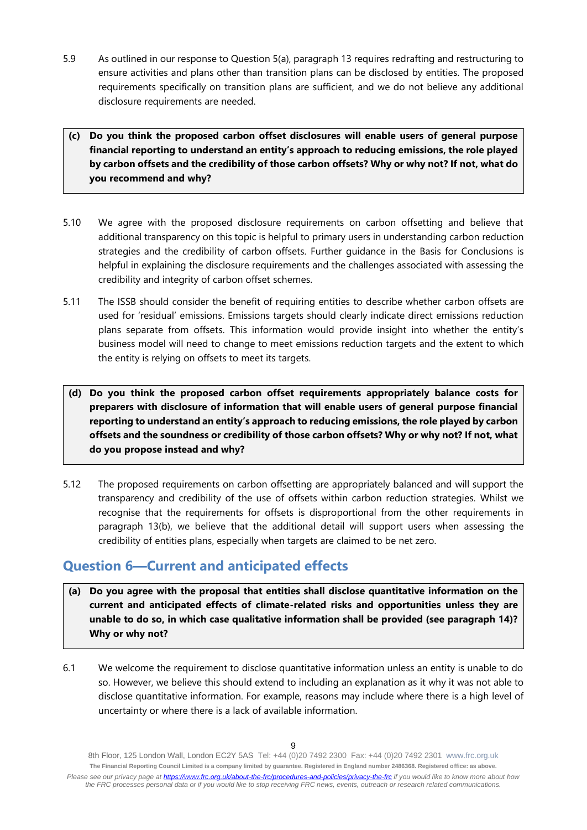5.9 As outlined in our response to Question 5(a), paragraph 13 requires redrafting and restructuring to ensure activities and plans other than transition plans can be disclosed by entities. The proposed requirements specifically on transition plans are sufficient, and we do not believe any additional disclosure requirements are needed.

### **(c) Do you think the proposed carbon offset disclosures will enable users of general purpose financial reporting to understand an entity's approach to reducing emissions, the role played by carbon offsets and the credibility of those carbon offsets? Why or why not? If not, what do you recommend and why?**

- 5.10 We agree with the proposed disclosure requirements on carbon offsetting and believe that additional transparency on this topic is helpful to primary users in understanding carbon reduction strategies and the credibility of carbon offsets. Further guidance in the Basis for Conclusions is helpful in explaining the disclosure requirements and the challenges associated with assessing the credibility and integrity of carbon offset schemes.
- 5.11 The ISSB should consider the benefit of requiring entities to describe whether carbon offsets are used for 'residual' emissions. Emissions targets should clearly indicate direct emissions reduction plans separate from offsets. This information would provide insight into whether the entity's business model will need to change to meet emissions reduction targets and the extent to which the entity is relying on offsets to meet its targets.

**(d) Do you think the proposed carbon offset requirements appropriately balance costs for preparers with disclosure of information that will enable users of general purpose financial reporting to understand an entity's approach to reducing emissions, the role played by carbon offsets and the soundness or credibility of those carbon offsets? Why or why not? If not, what do you propose instead and why?**

5.12 The proposed requirements on carbon offsetting are appropriately balanced and will support the transparency and credibility of the use of offsets within carbon reduction strategies. Whilst we recognise that the requirements for offsets is disproportional from the other requirements in paragraph 13(b), we believe that the additional detail will support users when assessing the credibility of entities plans, especially when targets are claimed to be net zero.

# **Question 6—Current and anticipated effects**

- **(a) Do you agree with the proposal that entities shall disclose quantitative information on the current and anticipated effects of climate-related risks and opportunities unless they are unable to do so, in which case qualitative information shall be provided (see paragraph 14)? Why or why not?**
- 6.1 We welcome the requirement to disclose quantitative information unless an entity is unable to do so. However, we believe this should extend to including an explanation as it why it was not able to disclose quantitative information. For example, reasons may include where there is a high level of uncertainty or where there is a lack of available information.

<sup>8</sup>th Floor, 125 London Wall, London EC2Y 5AS Tel: +44 (0)20 7492 2300 Fax: +44 (0)20 7492 2301 [www.frc.org.uk](http://www.frc.org.uk/) **The Financial Reporting Council Limited is a company limited by guarantee. Registered in England number 2486368. Registered office: as above.** *Please see our privacy page at [https://www.frc.org.uk/about-the-frc/procedures-and-policies/privacy-the-frc](https://protect-eu.mimecast.com/s/meSwCVPQETYrOJIgd9IO) if you would like to know more about how the FRC processes personal data or if you would like to stop receiving FRC news, events, outreach or research related communications.*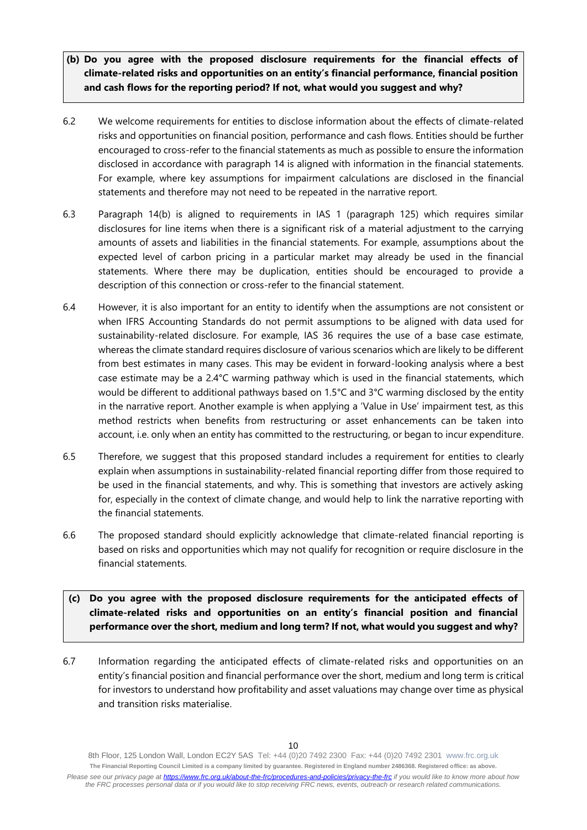- **(b) Do you agree with the proposed disclosure requirements for the financial effects of climate-related risks and opportunities on an entity's financial performance, financial position and cash flows for the reporting period? If not, what would you suggest and why?**
- 6.2 We welcome requirements for entities to disclose information about the effects of climate-related risks and opportunities on financial position, performance and cash flows. Entities should be further encouraged to cross-refer to the financial statements as much as possible to ensure the information disclosed in accordance with paragraph 14 is aligned with information in the financial statements. For example, where key assumptions for impairment calculations are disclosed in the financial statements and therefore may not need to be repeated in the narrative report.
- 6.3 Paragraph 14(b) is aligned to requirements in IAS 1 (paragraph 125) which requires similar disclosures for line items when there is a significant risk of a material adjustment to the carrying amounts of assets and liabilities in the financial statements. For example, assumptions about the expected level of carbon pricing in a particular market may already be used in the financial statements. Where there may be duplication, entities should be encouraged to provide a description of this connection or cross-refer to the financial statement.
- 6.4 However, it is also important for an entity to identify when the assumptions are not consistent or when IFRS Accounting Standards do not permit assumptions to be aligned with data used for sustainability-related disclosure. For example, IAS 36 requires the use of a base case estimate, whereas the climate standard requires disclosure of various scenarios which are likely to be different from best estimates in many cases. This may be evident in forward-looking analysis where a best case estimate may be a 2.4°C warming pathway which is used in the financial statements, which would be different to additional pathways based on 1.5°C and 3°C warming disclosed by the entity in the narrative report. Another example is when applying a 'Value in Use' impairment test, as this method restricts when benefits from restructuring or asset enhancements can be taken into account, i.e. only when an entity has committed to the restructuring, or began to incur expenditure.
- 6.5 Therefore, we suggest that this proposed standard includes a requirement for entities to clearly explain when assumptions in sustainability-related financial reporting differ from those required to be used in the financial statements, and why. This is something that investors are actively asking for, especially in the context of climate change, and would help to link the narrative reporting with the financial statements.
- 6.6 The proposed standard should explicitly acknowledge that climate-related financial reporting is based on risks and opportunities which may not qualify for recognition or require disclosure in the financial statements.
- **(c) Do you agree with the proposed disclosure requirements for the anticipated effects of climate-related risks and opportunities on an entity's financial position and financial performance over the short, medium and long term? If not, what would you suggest and why?**
- 6.7 Information regarding the anticipated effects of climate-related risks and opportunities on an entity's financial position and financial performance over the short, medium and long term is critical for investors to understand how profitability and asset valuations may change over time as physical and transition risks materialise.

<sup>8</sup>th Floor, 125 London Wall, London EC2Y 5AS Tel: +44 (0)20 7492 2300 Fax: +44 (0)20 7492 2301 [www.frc.org.uk](http://www.frc.org.uk/) **The Financial Reporting Council Limited is a company limited by guarantee. Registered in England number 2486368. Registered office: as above.** *Please see our privacy page at [https://www.frc.org.uk/about-the-frc/procedures-and-policies/privacy-the-frc](https://protect-eu.mimecast.com/s/meSwCVPQETYrOJIgd9IO) if you would like to know more about how the FRC processes personal data or if you would like to stop receiving FRC news, events, outreach or research related communications.*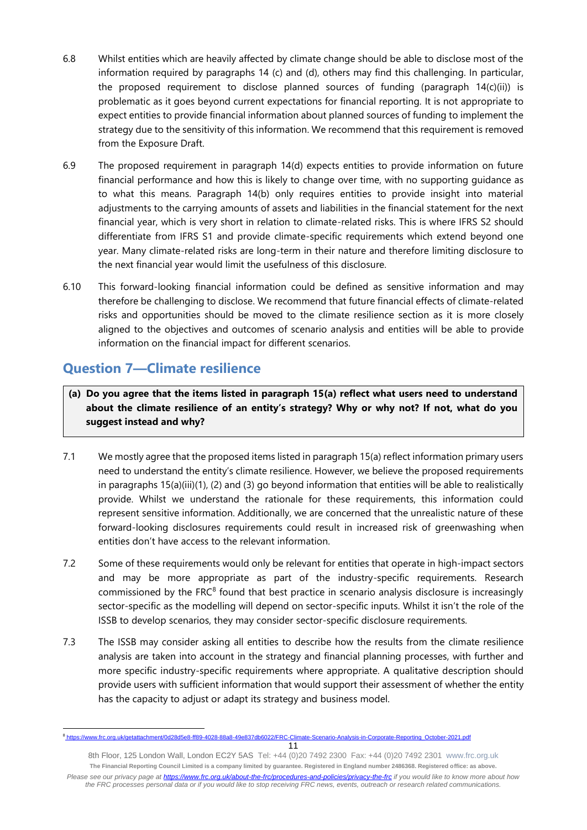- 6.8 Whilst entities which are heavily affected by climate change should be able to disclose most of the information required by paragraphs 14 (c) and (d), others may find this challenging. In particular, the proposed requirement to disclose planned sources of funding (paragraph  $14(c)(ii)$ ) is problematic as it goes beyond current expectations for financial reporting. It is not appropriate to expect entities to provide financial information about planned sources of funding to implement the strategy due to the sensitivity of this information. We recommend that this requirement is removed from the Exposure Draft.
- 6.9 The proposed requirement in paragraph 14(d) expects entities to provide information on future financial performance and how this is likely to change over time, with no supporting guidance as to what this means. Paragraph 14(b) only requires entities to provide insight into material adjustments to the carrying amounts of assets and liabilities in the financial statement for the next financial year, which is very short in relation to climate-related risks. This is where IFRS S2 should differentiate from IFRS S1 and provide climate-specific requirements which extend beyond one year. Many climate-related risks are long-term in their nature and therefore limiting disclosure to the next financial year would limit the usefulness of this disclosure.
- 6.10 This forward-looking financial information could be defined as sensitive information and may therefore be challenging to disclose. We recommend that future financial effects of climate-related risks and opportunities should be moved to the climate resilience section as it is more closely aligned to the objectives and outcomes of scenario analysis and entities will be able to provide information on the financial impact for different scenarios.

# **Question 7—Climate resilience**

**(a) Do you agree that the items listed in paragraph 15(a) reflect what users need to understand about the climate resilience of an entity's strategy? Why or why not? If not, what do you suggest instead and why?**

- 7.1 We mostly agree that the proposed items listed in paragraph 15(a) reflect information primary users need to understand the entity's climate resilience. However, we believe the proposed requirements in paragraphs 15(a)(iii)(1), (2) and (3) go beyond information that entities will be able to realistically provide. Whilst we understand the rationale for these requirements, this information could represent sensitive information. Additionally, we are concerned that the unrealistic nature of these forward-looking disclosures requirements could result in increased risk of greenwashing when entities don't have access to the relevant information.
- 7.2 Some of these requirements would only be relevant for entities that operate in high-impact sectors and may be more appropriate as part of the industry-specific requirements. Research commissioned by the FRC<sup>8</sup> found that best practice in scenario analysis disclosure is increasingly sector-specific as the modelling will depend on sector-specific inputs. Whilst it isn't the role of the ISSB to develop scenarios, they may consider sector-specific disclosure requirements.
- 7.3 The ISSB may consider asking all entities to describe how the results from the climate resilience analysis are taken into account in the strategy and financial planning processes, with further and more specific industry-specific requirements where appropriate. A qualitative description should provide users with sufficient information that would support their assessment of whether the entity has the capacity to adjust or adapt its strategy and business model.

<sup>&</sup>lt;sup>8</sup>[https://www.frc.org.uk/getattachment/0d28d5e8-ff89-4028-88a8-49e837db6022/FRC-Climate-Scenario-Analysis-in-Corporate-Reporting\\_October-2021.pdf](https://www.frc.org.uk/getattachment/0d28d5e8-ff89-4028-88a8-49e837db6022/FRC-Climate-Scenario-Analysis-in-Corporate-Reporting_October-2021.pdf)

<sup>8</sup>th Floor, 125 London Wall, London EC2Y 5AS Tel: +44 (0)20 7492 2300 Fax: +44 (0)20 7492 2301 [www.frc.org.uk](http://www.frc.org.uk/) **The Financial Reporting Council Limited is a company limited by guarantee. Registered in England number 2486368. Registered office: as above.** *Please see our privacy page at [https://www.frc.org.uk/about-the-frc/procedures-and-policies/privacy-the-frc](https://protect-eu.mimecast.com/s/meSwCVPQETYrOJIgd9IO) if you would like to know more about how the FRC processes personal data or if you would like to stop receiving FRC news, events, outreach or research related communications.*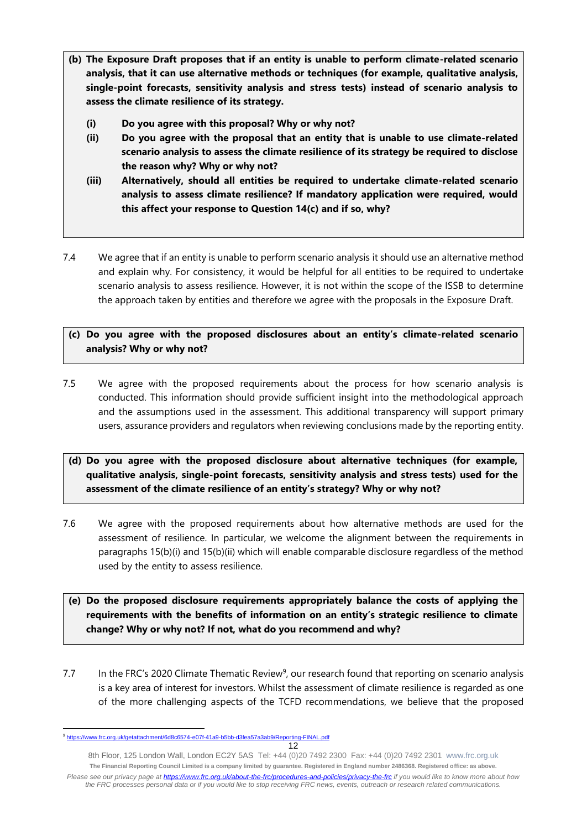- **(b) The Exposure Draft proposes that if an entity is unable to perform climate-related scenario analysis, that it can use alternative methods or techniques (for example, qualitative analysis, single-point forecasts, sensitivity analysis and stress tests) instead of scenario analysis to assess the climate resilience of its strategy.**
	- **(i) Do you agree with this proposal? Why or why not?**
	- **(ii) Do you agree with the proposal that an entity that is unable to use climate-related scenario analysis to assess the climate resilience of its strategy be required to disclose the reason why? Why or why not?**
	- **(iii) Alternatively, should all entities be required to undertake climate-related scenario analysis to assess climate resilience? If mandatory application were required, would this affect your response to Question 14(c) and if so, why?**
- 7.4 We agree that if an entity is unable to perform scenario analysis it should use an alternative method and explain why. For consistency, it would be helpful for all entities to be required to undertake scenario analysis to assess resilience. However, it is not within the scope of the ISSB to determine the approach taken by entities and therefore we agree with the proposals in the Exposure Draft.

### **(c) Do you agree with the proposed disclosures about an entity's climate-related scenario analysis? Why or why not?**

- 7.5 We agree with the proposed requirements about the process for how scenario analysis is conducted. This information should provide sufficient insight into the methodological approach and the assumptions used in the assessment. This additional transparency will support primary users, assurance providers and regulators when reviewing conclusions made by the reporting entity.
- **(d) Do you agree with the proposed disclosure about alternative techniques (for example, qualitative analysis, single-point forecasts, sensitivity analysis and stress tests) used for the assessment of the climate resilience of an entity's strategy? Why or why not?**
- 7.6 We agree with the proposed requirements about how alternative methods are used for the assessment of resilience. In particular, we welcome the alignment between the requirements in paragraphs 15(b)(i) and 15(b)(ii) which will enable comparable disclosure regardless of the method used by the entity to assess resilience.
- **(e) Do the proposed disclosure requirements appropriately balance the costs of applying the requirements with the benefits of information on an entity's strategic resilience to climate change? Why or why not? If not, what do you recommend and why?**
- 7.7 In the FRC's 2020 Climate Thematic Review<sup>9</sup>, our research found that reporting on scenario analysis is a key area of interest for investors. Whilst the assessment of climate resilience is regarded as one of the more challenging aspects of the TCFD recommendations, we believe that the proposed

<sup>&</sup>lt;sup>9</sup> <https://www.frc.org.uk/getattachment/6d8c6574-e07f-41a9-b5bb-d3fea57a3ab9/Reporting-FINAL.pdf>

<sup>8</sup>th Floor, 125 London Wall, London EC2Y 5AS Tel: +44 (0)20 7492 2300 Fax: +44 (0)20 7492 2301 [www.frc.org.uk](http://www.frc.org.uk/) **The Financial Reporting Council Limited is a company limited by guarantee. Registered in England number 2486368. Registered office: as above.** *Please see our privacy page at [https://www.frc.org.uk/about-the-frc/procedures-and-policies/privacy-the-frc](https://protect-eu.mimecast.com/s/meSwCVPQETYrOJIgd9IO) if you would like to know more about how the FRC processes personal data or if you would like to stop receiving FRC news, events, outreach or research related communications.*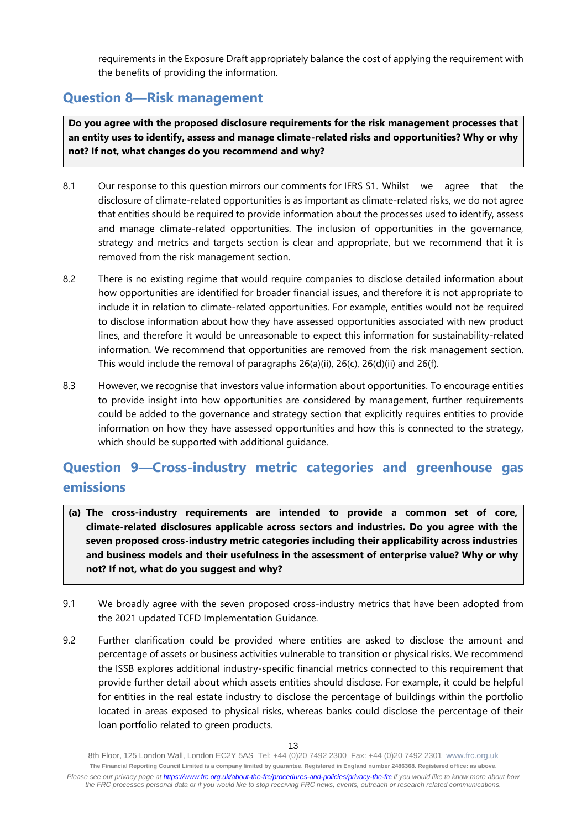requirements in the Exposure Draft appropriately balance the cost of applying the requirement with the benefits of providing the information.

# **Question 8—Risk management**

**Do you agree with the proposed disclosure requirements for the risk management processes that an entity uses to identify, assess and manage climate-related risks and opportunities? Why or why not? If not, what changes do you recommend and why?**

- 8.1 Our response to this question mirrors our comments for IFRS S1. Whilst we agree that the disclosure of climate-related opportunities is as important as climate-related risks, we do not agree that entities should be required to provide information about the processes used to identify, assess and manage climate-related opportunities. The inclusion of opportunities in the governance, strategy and metrics and targets section is clear and appropriate, but we recommend that it is removed from the risk management section.
- 8.2 There is no existing regime that would require companies to disclose detailed information about how opportunities are identified for broader financial issues, and therefore it is not appropriate to include it in relation to climate-related opportunities. For example, entities would not be required to disclose information about how they have assessed opportunities associated with new product lines, and therefore it would be unreasonable to expect this information for sustainability-related information. We recommend that opportunities are removed from the risk management section. This would include the removal of paragraphs 26(a)(ii), 26(c), 26(d)(ii) and 26(f).
- 8.3 However, we recognise that investors value information about opportunities. To encourage entities to provide insight into how opportunities are considered by management, further requirements could be added to the governance and strategy section that explicitly requires entities to provide information on how they have assessed opportunities and how this is connected to the strategy, which should be supported with additional guidance.

# **Question 9—Cross-industry metric categories and greenhouse gas emissions**

- **(a) The cross-industry requirements are intended to provide a common set of core, climate-related disclosures applicable across sectors and industries. Do you agree with the seven proposed cross-industry metric categories including their applicability across industries and business models and their usefulness in the assessment of enterprise value? Why or why not? If not, what do you suggest and why?**
- 9.1 We broadly agree with the seven proposed cross-industry metrics that have been adopted from the 2021 updated TCFD Implementation Guidance.
- 9.2 Further clarification could be provided where entities are asked to disclose the amount and percentage of assets or business activities vulnerable to transition or physical risks. We recommend the ISSB explores additional industry-specific financial metrics connected to this requirement that provide further detail about which assets entities should disclose. For example, it could be helpful for entities in the real estate industry to disclose the percentage of buildings within the portfolio located in areas exposed to physical risks, whereas banks could disclose the percentage of their loan portfolio related to green products.

<sup>8</sup>th Floor, 125 London Wall, London EC2Y 5AS Tel: +44 (0)20 7492 2300 Fax: +44 (0)20 7492 2301 [www.frc.org.uk](http://www.frc.org.uk/) **The Financial Reporting Council Limited is a company limited by guarantee. Registered in England number 2486368. Registered office: as above.** *Please see our privacy page at [https://www.frc.org.uk/about-the-frc/procedures-and-policies/privacy-the-frc](https://protect-eu.mimecast.com/s/meSwCVPQETYrOJIgd9IO) if you would like to know more about how the FRC processes personal data or if you would like to stop receiving FRC news, events, outreach or research related communications.*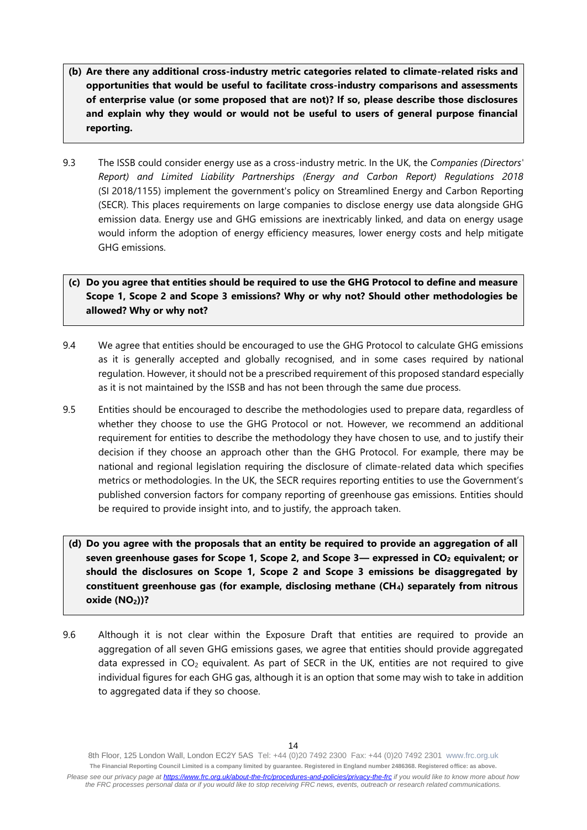- **(b) Are there any additional cross-industry metric categories related to climate-related risks and opportunities that would be useful to facilitate cross-industry comparisons and assessments of enterprise value (or some proposed that are not)? If so, please describe those disclosures and explain why they would or would not be useful to users of general purpose financial reporting.**
- 9.3 The ISSB could consider energy use as a cross-industry metric. In the UK, the *Companies (Directors' Report) and Limited Liability Partnerships (Energy and Carbon Report) Regulations 2018* (SI 2018/1155) implement the government's policy on Streamlined Energy and Carbon Reporting (SECR). This places requirements on large companies to disclose energy use data alongside GHG emission data. Energy use and GHG emissions are inextricably linked, and data on energy usage would inform the adoption of energy efficiency measures, lower energy costs and help mitigate GHG emissions.

### **(c) Do you agree that entities should be required to use the GHG Protocol to define and measure Scope 1, Scope 2 and Scope 3 emissions? Why or why not? Should other methodologies be allowed? Why or why not?**

- 9.4 We agree that entities should be encouraged to use the GHG Protocol to calculate GHG emissions as it is generally accepted and globally recognised, and in some cases required by national regulation. However, it should not be a prescribed requirement of this proposed standard especially as it is not maintained by the ISSB and has not been through the same due process.
- 9.5 Entities should be encouraged to describe the methodologies used to prepare data, regardless of whether they choose to use the GHG Protocol or not. However, we recommend an additional requirement for entities to describe the methodology they have chosen to use, and to justify their decision if they choose an approach other than the GHG Protocol. For example, there may be national and regional legislation requiring the disclosure of climate-related data which specifies metrics or methodologies. In the UK, the SECR requires reporting entities to use the Government's published conversion factors for company reporting of greenhouse gas emissions. Entities should be required to provide insight into, and to justify, the approach taken.
- **(d) Do you agree with the proposals that an entity be required to provide an aggregation of all seven greenhouse gases for Scope 1, Scope 2, and Scope 3— expressed in CO<sup>2</sup> equivalent; or should the disclosures on Scope 1, Scope 2 and Scope 3 emissions be disaggregated by constituent greenhouse gas (for example, disclosing methane (CH4) separately from nitrous oxide (NO2))?**
- 9.6 Although it is not clear within the Exposure Draft that entities are required to provide an aggregation of all seven GHG emissions gases, we agree that entities should provide aggregated data expressed in CO<sub>2</sub> equivalent. As part of SECR in the UK, entities are not required to give individual figures for each GHG gas, although it is an option that some may wish to take in addition to aggregated data if they so choose.

<sup>8</sup>th Floor, 125 London Wall, London EC2Y 5AS Tel: +44 (0)20 7492 2300 Fax: +44 (0)20 7492 2301 [www.frc.org.uk](http://www.frc.org.uk/) **The Financial Reporting Council Limited is a company limited by guarantee. Registered in England number 2486368. Registered office: as above.** *Please see our privacy page at [https://www.frc.org.uk/about-the-frc/procedures-and-policies/privacy-the-frc](https://protect-eu.mimecast.com/s/meSwCVPQETYrOJIgd9IO) if you would like to know more about how the FRC processes personal data or if you would like to stop receiving FRC news, events, outreach or research related communications.*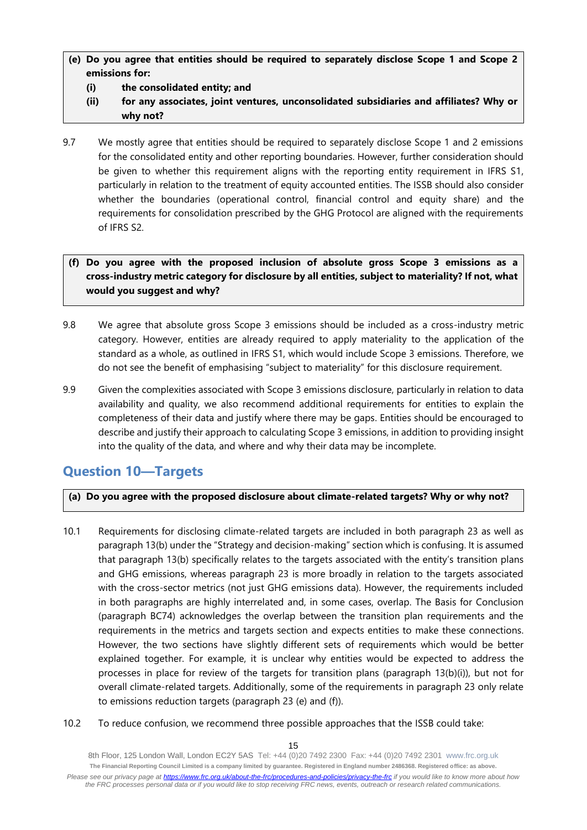### **(e) Do you agree that entities should be required to separately disclose Scope 1 and Scope 2 emissions for:**

- **(i) the consolidated entity; and**
- **(ii) for any associates, joint ventures, unconsolidated subsidiaries and affiliates? Why or why not?**
- 9.7 We mostly agree that entities should be required to separately disclose Scope 1 and 2 emissions for the consolidated entity and other reporting boundaries. However, further consideration should be given to whether this requirement aligns with the reporting entity requirement in IFRS S1, particularly in relation to the treatment of equity accounted entities. The ISSB should also consider whether the boundaries (operational control, financial control and equity share) and the requirements for consolidation prescribed by the GHG Protocol are aligned with the requirements of IFRS S2.

### **(f) Do you agree with the proposed inclusion of absolute gross Scope 3 emissions as a cross-industry metric category for disclosure by all entities, subject to materiality? If not, what would you suggest and why?**

- 9.8 We agree that absolute gross Scope 3 emissions should be included as a cross-industry metric category. However, entities are already required to apply materiality to the application of the standard as a whole, as outlined in IFRS S1, which would include Scope 3 emissions. Therefore, we do not see the benefit of emphasising "subject to materiality" for this disclosure requirement.
- 9.9 Given the complexities associated with Scope 3 emissions disclosure, particularly in relation to data availability and quality, we also recommend additional requirements for entities to explain the completeness of their data and justify where there may be gaps. Entities should be encouraged to describe and justify their approach to calculating Scope 3 emissions, in addition to providing insight into the quality of the data, and where and why their data may be incomplete.

# **Question 10—Targets**

### **(a) Do you agree with the proposed disclosure about climate-related targets? Why or why not?**

- 10.1 Requirements for disclosing climate-related targets are included in both paragraph 23 as well as paragraph 13(b) under the "Strategy and decision-making" section which is confusing. It is assumed that paragraph 13(b) specifically relates to the targets associated with the entity's transition plans and GHG emissions, whereas paragraph 23 is more broadly in relation to the targets associated with the cross-sector metrics (not just GHG emissions data). However, the requirements included in both paragraphs are highly interrelated and, in some cases, overlap. The Basis for Conclusion (paragraph BC74) acknowledges the overlap between the transition plan requirements and the requirements in the metrics and targets section and expects entities to make these connections. However, the two sections have slightly different sets of requirements which would be better explained together. For example, it is unclear why entities would be expected to address the processes in place for review of the targets for transition plans (paragraph 13(b)(i)), but not for overall climate-related targets. Additionally, some of the requirements in paragraph 23 only relate to emissions reduction targets (paragraph 23 (e) and (f)).
- 10.2 To reduce confusion, we recommend three possible approaches that the ISSB could take: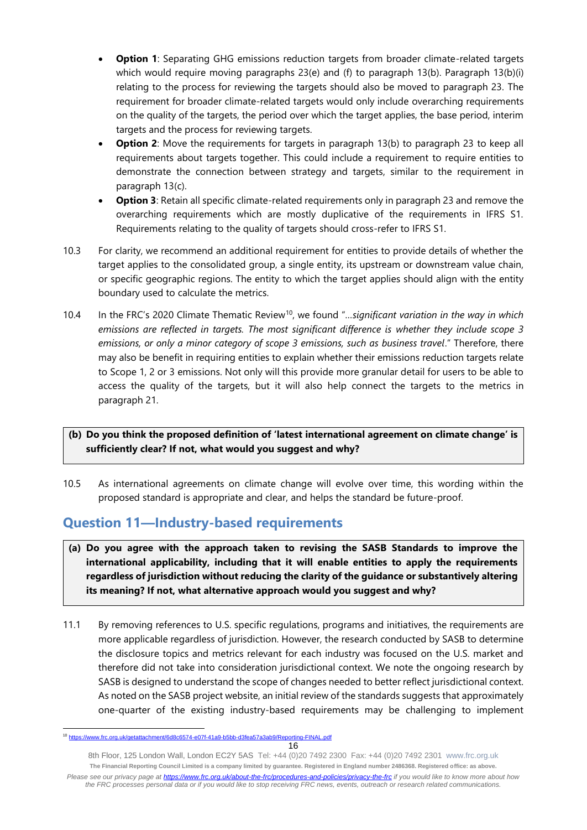- **Option 1**: Separating GHG emissions reduction targets from broader climate-related targets which would require moving paragraphs 23(e) and (f) to paragraph 13(b). Paragraph 13(b)(i) relating to the process for reviewing the targets should also be moved to paragraph 23. The requirement for broader climate-related targets would only include overarching requirements on the quality of the targets, the period over which the target applies, the base period, interim targets and the process for reviewing targets.
- **Option 2**: Move the requirements for targets in paragraph 13(b) to paragraph 23 to keep all requirements about targets together. This could include a requirement to require entities to demonstrate the connection between strategy and targets, similar to the requirement in paragraph 13(c).
- **Option 3**: Retain all specific climate-related requirements only in paragraph 23 and remove the overarching requirements which are mostly duplicative of the requirements in IFRS S1. Requirements relating to the quality of targets should cross-refer to IFRS S1.
- 10.3 For clarity, we recommend an additional requirement for entities to provide details of whether the target applies to the consolidated group, a single entity, its upstream or downstream value chain, or specific geographic regions. The entity to which the target applies should align with the entity boundary used to calculate the metrics.
- 10.4 In the FRC's 2020 Climate Thematic Review<sup>10</sup>, we found "*…significant variation in the way in which emissions are reflected in targets. The most significant difference is whether they include scope 3 emissions, or only a minor category of scope 3 emissions, such as business travel*." Therefore, there may also be benefit in requiring entities to explain whether their emissions reduction targets relate to Scope 1, 2 or 3 emissions. Not only will this provide more granular detail for users to be able to access the quality of the targets, but it will also help connect the targets to the metrics in paragraph 21.

### **(b) Do you think the proposed definition of 'latest international agreement on climate change' is sufficiently clear? If not, what would you suggest and why?**

10.5 As international agreements on climate change will evolve over time, this wording within the proposed standard is appropriate and clear, and helps the standard be future-proof.

# **Question 11—Industry-based requirements**

- **(a) Do you agree with the approach taken to revising the SASB Standards to improve the international applicability, including that it will enable entities to apply the requirements regardless of jurisdiction without reducing the clarity of the guidance or substantively altering its meaning? If not, what alternative approach would you suggest and why?**
- 11.1 By removing references to U.S. specific regulations, programs and initiatives, the requirements are more applicable regardless of jurisdiction. However, the research conducted by SASB to determine the disclosure topics and metrics relevant for each industry was focused on the U.S. market and therefore did not take into consideration jurisdictional context. We note the ongoing research by SASB is designed to understand the scope of changes needed to better reflect jurisdictional context. As noted on the SASB project website, an initial review of the standards suggests that approximately one-quarter of the existing industry-based requirements may be challenging to implement

<sup>10</sup> <https://www.frc.org.uk/getattachment/6d8c6574-e07f-41a9-b5bb-d3fea57a3ab9/Reporting-FINAL.pdf>

<sup>16</sup>

<sup>8</sup>th Floor, 125 London Wall, London EC2Y 5AS Tel: +44 (0)20 7492 2300 Fax: +44 (0)20 7492 2301 [www.frc.org.uk](http://www.frc.org.uk/) **The Financial Reporting Council Limited is a company limited by guarantee. Registered in England number 2486368. Registered office: as above.** *Please see our privacy page at [https://www.frc.org.uk/about-the-frc/procedures-and-policies/privacy-the-frc](https://protect-eu.mimecast.com/s/meSwCVPQETYrOJIgd9IO) if you would like to know more about how the FRC processes personal data or if you would like to stop receiving FRC news, events, outreach or research related communications.*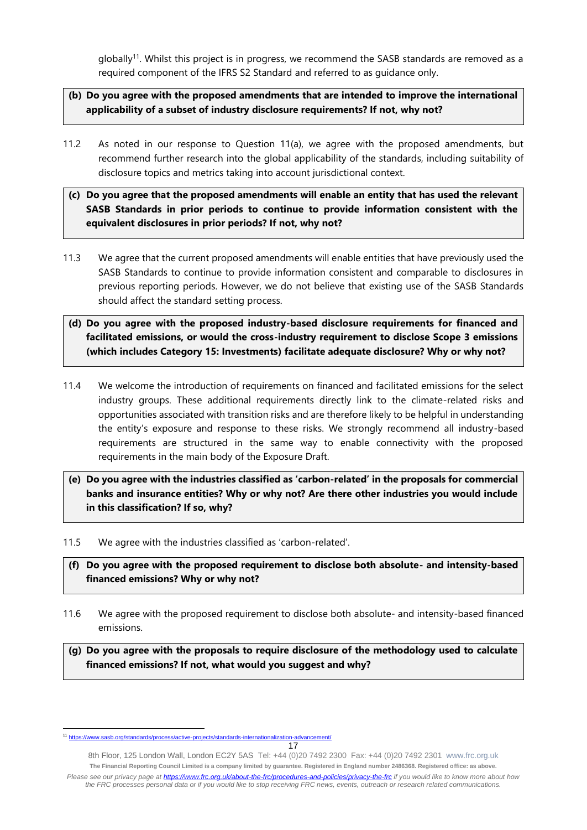globally<sup>11</sup>. Whilst this project is in progress, we recommend the SASB standards are removed as a required component of the IFRS S2 Standard and referred to as guidance only.

### **(b) Do you agree with the proposed amendments that are intended to improve the international applicability of a subset of industry disclosure requirements? If not, why not?**

- 11.2 As noted in our response to Question 11(a), we agree with the proposed amendments, but recommend further research into the global applicability of the standards, including suitability of disclosure topics and metrics taking into account jurisdictional context.
- **(c) Do you agree that the proposed amendments will enable an entity that has used the relevant SASB Standards in prior periods to continue to provide information consistent with the equivalent disclosures in prior periods? If not, why not?**
- 11.3 We agree that the current proposed amendments will enable entities that have previously used the SASB Standards to continue to provide information consistent and comparable to disclosures in previous reporting periods. However, we do not believe that existing use of the SASB Standards should affect the standard setting process.
- **(d) Do you agree with the proposed industry-based disclosure requirements for financed and facilitated emissions, or would the cross-industry requirement to disclose Scope 3 emissions (which includes Category 15: Investments) facilitate adequate disclosure? Why or why not?**
- 11.4 We welcome the introduction of requirements on financed and facilitated emissions for the select industry groups. These additional requirements directly link to the climate-related risks and opportunities associated with transition risks and are therefore likely to be helpful in understanding the entity's exposure and response to these risks. We strongly recommend all industry-based requirements are structured in the same way to enable connectivity with the proposed requirements in the main body of the Exposure Draft.
- **(e) Do you agree with the industries classified as 'carbon-related' in the proposals for commercial banks and insurance entities? Why or why not? Are there other industries you would include in this classification? If so, why?**
- 11.5 We agree with the industries classified as 'carbon-related'.
- **(f) Do you agree with the proposed requirement to disclose both absolute- and intensity-based financed emissions? Why or why not?**
- 11.6 We agree with the proposed requirement to disclose both absolute- and intensity-based financed emissions.

**(g) Do you agree with the proposals to require disclosure of the methodology used to calculate financed emissions? If not, what would you suggest and why?**

8th Floor, 125 London Wall, London EC2Y 5AS Tel: +44 (0)20 7492 2300 Fax: +44 (0)20 7492 2301 [www.frc.org.uk](http://www.frc.org.uk/) **The Financial Reporting Council Limited is a company limited by guarantee. Registered in England number 2486368. Registered office: as above.** *Please see our privacy page at [https://www.frc.org.uk/about-the-frc/procedures-and-policies/privacy-the-frc](https://protect-eu.mimecast.com/s/meSwCVPQETYrOJIgd9IO) if you would like to know more about how the FRC processes personal data or if you would like to stop receiving FRC news, events, outreach or research related communications.*

<sup>17</sup> <sup>11</sup> <https://www.sasb.org/standards/process/active-projects/standards-internationalization-advancement/>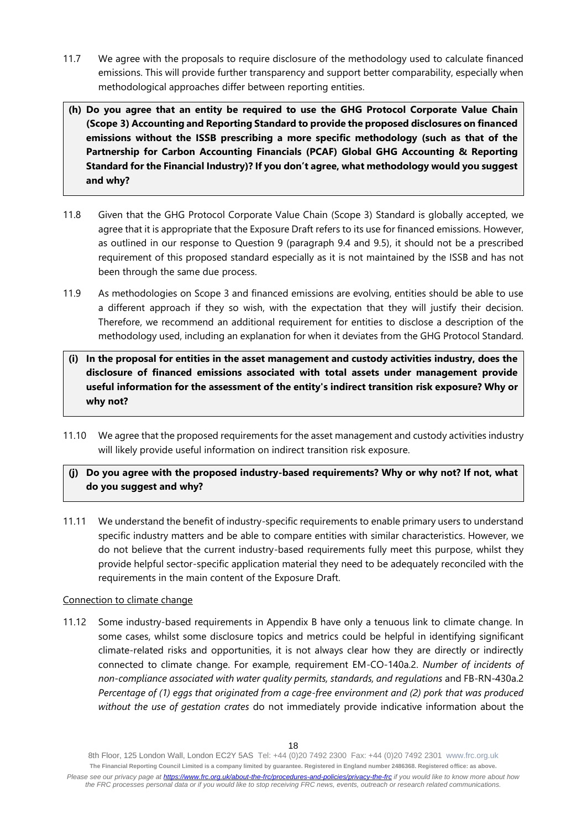- 11.7 We agree with the proposals to require disclosure of the methodology used to calculate financed emissions. This will provide further transparency and support better comparability, especially when methodological approaches differ between reporting entities.
- **(h) Do you agree that an entity be required to use the GHG Protocol Corporate Value Chain (Scope 3) Accounting and Reporting Standard to provide the proposed disclosures on financed emissions without the ISSB prescribing a more specific methodology (such as that of the Partnership for Carbon Accounting Financials (PCAF) Global GHG Accounting & Reporting Standard for the Financial Industry)? If you don't agree, what methodology would you suggest and why?**
- 11.8 Given that the GHG Protocol Corporate Value Chain (Scope 3) Standard is globally accepted, we agree that it is appropriate that the Exposure Draft refers to its use for financed emissions. However, as outlined in our response to Question 9 (paragraph 9.4 and 9.5), it should not be a prescribed requirement of this proposed standard especially as it is not maintained by the ISSB and has not been through the same due process.
- 11.9 As methodologies on Scope 3 and financed emissions are evolving, entities should be able to use a different approach if they so wish, with the expectation that they will justify their decision. Therefore, we recommend an additional requirement for entities to disclose a description of the methodology used, including an explanation for when it deviates from the GHG Protocol Standard.
- **(i) In the proposal for entities in the asset management and custody activities industry, does the disclosure of financed emissions associated with total assets under management provide useful information for the assessment of the entity's indirect transition risk exposure? Why or why not?**
- 11.10 We agree that the proposed requirements for the asset management and custody activities industry will likely provide useful information on indirect transition risk exposure.

### **(j) Do you agree with the proposed industry-based requirements? Why or why not? If not, what do you suggest and why?**

11.11 We understand the benefit of industry-specific requirements to enable primary users to understand specific industry matters and be able to compare entities with similar characteristics. However, we do not believe that the current industry-based requirements fully meet this purpose, whilst they provide helpful sector-specific application material they need to be adequately reconciled with the requirements in the main content of the Exposure Draft.

#### Connection to climate change

11.12 Some industry-based requirements in Appendix B have only a tenuous link to climate change. In some cases, whilst some disclosure topics and metrics could be helpful in identifying significant climate-related risks and opportunities, it is not always clear how they are directly or indirectly connected to climate change. For example, requirement EM-CO-140a.2. *Number of incidents of non-compliance associated with water quality permits, standards, and regulations and FB-RN-430a.2 Percentage of (1) eggs that originated from a cage-free environment and (2) pork that was produced without the use of gestation crates* do not immediately provide indicative information about the

<sup>8</sup>th Floor, 125 London Wall, London EC2Y 5AS Tel: +44 (0)20 7492 2300 Fax: +44 (0)20 7492 2301 [www.frc.org.uk](http://www.frc.org.uk/) **The Financial Reporting Council Limited is a company limited by guarantee. Registered in England number 2486368. Registered office: as above.** *Please see our privacy page at [https://www.frc.org.uk/about-the-frc/procedures-and-policies/privacy-the-frc](https://protect-eu.mimecast.com/s/meSwCVPQETYrOJIgd9IO) if you would like to know more about how the FRC processes personal data or if you would like to stop receiving FRC news, events, outreach or research related communications.*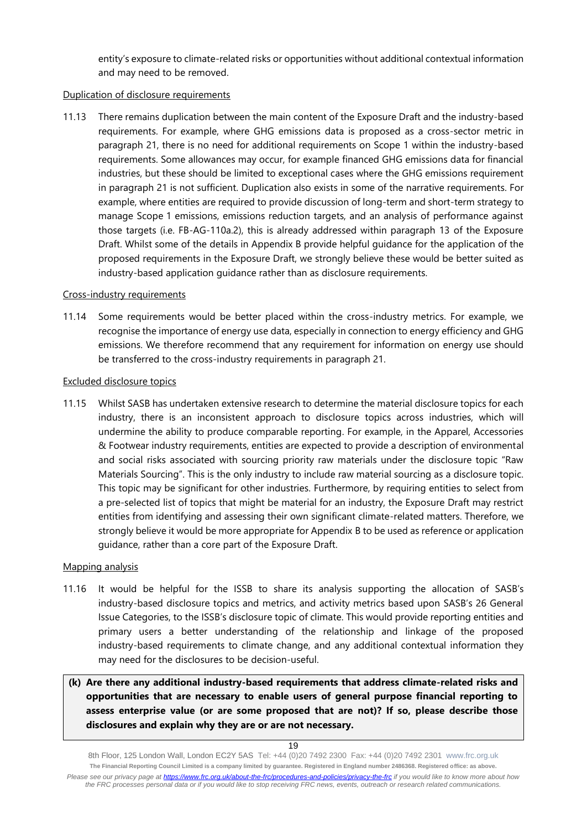entity's exposure to climate-related risks or opportunities without additional contextual information and may need to be removed.

#### Duplication of disclosure requirements

11.13 There remains duplication between the main content of the Exposure Draft and the industry-based requirements. For example, where GHG emissions data is proposed as a cross-sector metric in paragraph 21, there is no need for additional requirements on Scope 1 within the industry-based requirements. Some allowances may occur, for example financed GHG emissions data for financial industries, but these should be limited to exceptional cases where the GHG emissions requirement in paragraph 21 is not sufficient. Duplication also exists in some of the narrative requirements. For example, where entities are required to provide discussion of long-term and short-term strategy to manage Scope 1 emissions, emissions reduction targets, and an analysis of performance against those targets (i.e. FB-AG-110a.2), this is already addressed within paragraph 13 of the Exposure Draft. Whilst some of the details in Appendix B provide helpful guidance for the application of the proposed requirements in the Exposure Draft, we strongly believe these would be better suited as industry-based application guidance rather than as disclosure requirements.

#### Cross-industry requirements

11.14 Some requirements would be better placed within the cross-industry metrics. For example, we recognise the importance of energy use data, especially in connection to energy efficiency and GHG emissions. We therefore recommend that any requirement for information on energy use should be transferred to the cross-industry requirements in paragraph 21.

#### Excluded disclosure topics

11.15 Whilst SASB has undertaken extensive research to determine the material disclosure topics for each industry, there is an inconsistent approach to disclosure topics across industries, which will undermine the ability to produce comparable reporting. For example, in the Apparel, Accessories & Footwear industry requirements, entities are expected to provide a description of environmental and social risks associated with sourcing priority raw materials under the disclosure topic "Raw Materials Sourcing". This is the only industry to include raw material sourcing as a disclosure topic. This topic may be significant for other industries. Furthermore, by requiring entities to select from a pre-selected list of topics that might be material for an industry, the Exposure Draft may restrict entities from identifying and assessing their own significant climate-related matters. Therefore, we strongly believe it would be more appropriate for Appendix B to be used as reference or application guidance, rather than a core part of the Exposure Draft.

#### Mapping analysis

- 11.16 It would be helpful for the ISSB to share its analysis supporting the allocation of SASB's industry-based disclosure topics and metrics, and activity metrics based upon SASB's 26 General Issue Categories, to the ISSB's disclosure topic of climate. This would provide reporting entities and primary users a better understanding of the relationship and linkage of the proposed industry-based requirements to climate change, and any additional contextual information they may need for the disclosures to be decision-useful.
- **(k) Are there any additional industry-based requirements that address climate-related risks and opportunities that are necessary to enable users of general purpose financial reporting to assess enterprise value (or are some proposed that are not)? If so, please describe those disclosures and explain why they are or are not necessary.**

8th Floor, 125 London Wall, London EC2Y 5AS Tel: +44 (0)20 7492 2300 Fax: +44 (0)20 7492 2301 [www.frc.org.uk](http://www.frc.org.uk/) **The Financial Reporting Council Limited is a company limited by guarantee. Registered in England number 2486368. Registered office: as above.** *Please see our privacy page at [https://www.frc.org.uk/about-the-frc/procedures-and-policies/privacy-the-frc](https://protect-eu.mimecast.com/s/meSwCVPQETYrOJIgd9IO) if you would like to know more about how the FRC processes personal data or if you would like to stop receiving FRC news, events, outreach or research related communications.*

<sup>19</sup>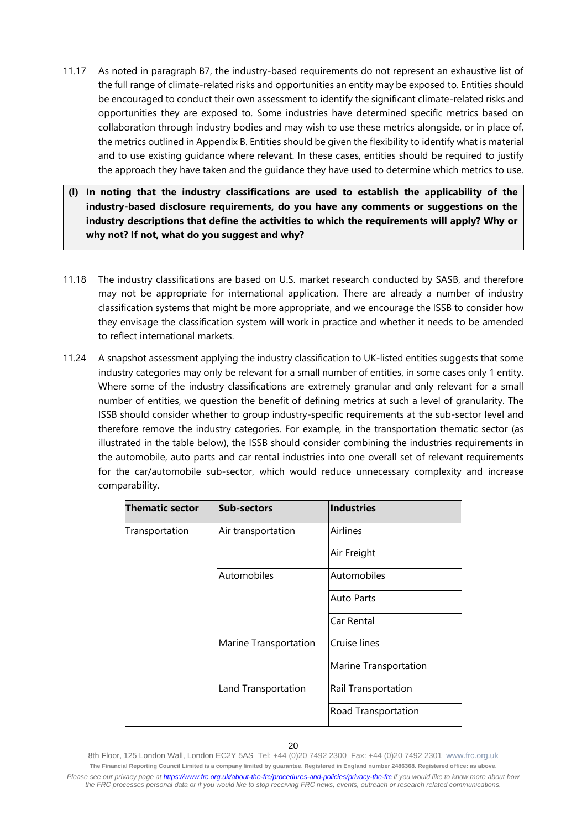- 11.17 As noted in paragraph B7, the industry-based requirements do not represent an exhaustive list of the full range of climate-related risks and opportunities an entity may be exposed to. Entities should be encouraged to conduct their own assessment to identify the significant climate-related risks and opportunities they are exposed to. Some industries have determined specific metrics based on collaboration through industry bodies and may wish to use these metrics alongside, or in place of, the metrics outlined in Appendix B. Entities should be given the flexibility to identify what is material and to use existing guidance where relevant. In these cases, entities should be required to justify the approach they have taken and the guidance they have used to determine which metrics to use.
- **(l) In noting that the industry classifications are used to establish the applicability of the industry-based disclosure requirements, do you have any comments or suggestions on the industry descriptions that define the activities to which the requirements will apply? Why or why not? If not, what do you suggest and why?**
- 11.18 The industry classifications are based on U.S. market research conducted by SASB, and therefore may not be appropriate for international application. There are already a number of industry classification systems that might be more appropriate, and we encourage the ISSB to consider how they envisage the classification system will work in practice and whether it needs to be amended to reflect international markets.
- 11.24 A snapshot assessment applying the industry classification to UK-listed entities suggests that some industry categories may only be relevant for a small number of entities, in some cases only 1 entity. Where some of the industry classifications are extremely granular and only relevant for a small number of entities, we question the benefit of defining metrics at such a level of granularity. The ISSB should consider whether to group industry-specific requirements at the sub-sector level and therefore remove the industry categories. For example, in the transportation thematic sector (as illustrated in the table below), the ISSB should consider combining the industries requirements in the automobile, auto parts and car rental industries into one overall set of relevant requirements for the car/automobile sub-sector, which would reduce unnecessary complexity and increase comparability.

| Thematic sector | <b>Sub-sectors</b>    | <b>Industries</b>            |
|-----------------|-----------------------|------------------------------|
| Transportation  | Air transportation    | Airlines                     |
|                 |                       | Air Freight                  |
|                 | Automobiles           | Automobiles                  |
|                 |                       | <b>Auto Parts</b>            |
|                 |                       | Car Rental                   |
|                 | Marine Transportation | Cruise lines                 |
|                 |                       | <b>Marine Transportation</b> |
|                 | Land Transportation   | Rail Transportation          |
|                 |                       | Road Transportation          |

<sup>8</sup>th Floor, 125 London Wall, London EC2Y 5AS Tel: +44 (0)20 7492 2300 Fax: +44 (0)20 7492 2301 [www.frc.org.uk](http://www.frc.org.uk/) **The Financial Reporting Council Limited is a company limited by guarantee. Registered in England number 2486368. Registered office: as above.** *Please see our privacy page at [https://www.frc.org.uk/about-the-frc/procedures-and-policies/privacy-the-frc](https://protect-eu.mimecast.com/s/meSwCVPQETYrOJIgd9IO) if you would like to know more about how the FRC processes personal data or if you would like to stop receiving FRC news, events, outreach or research related communications.*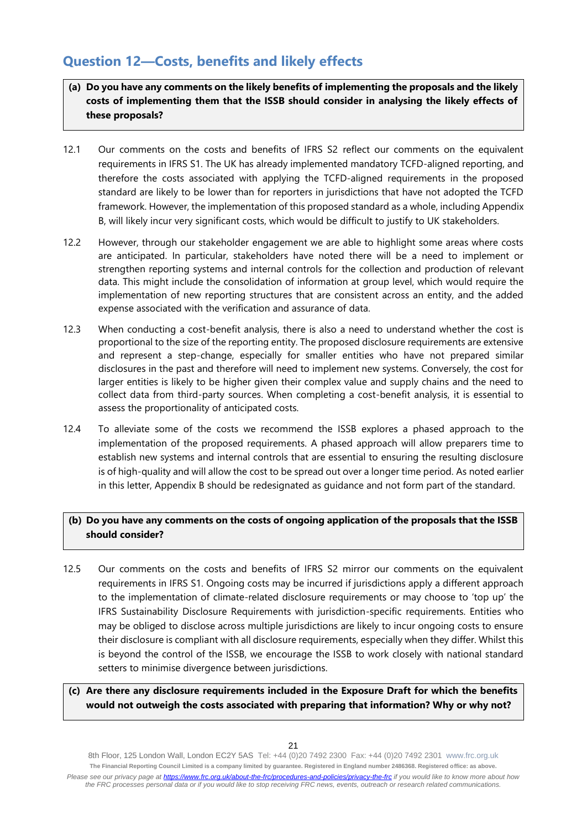### **Question 12—Costs, benefits and likely effects**

- **(a) Do you have any comments on the likely benefits of implementing the proposals and the likely costs of implementing them that the ISSB should consider in analysing the likely effects of these proposals?**
- 12.1 Our comments on the costs and benefits of IFRS S2 reflect our comments on the equivalent requirements in IFRS S1. The UK has already implemented mandatory TCFD-aligned reporting, and therefore the costs associated with applying the TCFD-aligned requirements in the proposed standard are likely to be lower than for reporters in jurisdictions that have not adopted the TCFD framework. However, the implementation of this proposed standard as a whole, including Appendix B, will likely incur very significant costs, which would be difficult to justify to UK stakeholders.
- 12.2 However, through our stakeholder engagement we are able to highlight some areas where costs are anticipated. In particular, stakeholders have noted there will be a need to implement or strengthen reporting systems and internal controls for the collection and production of relevant data. This might include the consolidation of information at group level, which would require the implementation of new reporting structures that are consistent across an entity, and the added expense associated with the verification and assurance of data.
- 12.3 When conducting a cost-benefit analysis, there is also a need to understand whether the cost is proportional to the size of the reporting entity. The proposed disclosure requirements are extensive and represent a step-change, especially for smaller entities who have not prepared similar disclosures in the past and therefore will need to implement new systems. Conversely, the cost for larger entities is likely to be higher given their complex value and supply chains and the need to collect data from third-party sources. When completing a cost-benefit analysis, it is essential to assess the proportionality of anticipated costs.
- 12.4 To alleviate some of the costs we recommend the ISSB explores a phased approach to the implementation of the proposed requirements. A phased approach will allow preparers time to establish new systems and internal controls that are essential to ensuring the resulting disclosure is of high-quality and will allow the cost to be spread out over a longer time period. As noted earlier in this letter, Appendix B should be redesignated as guidance and not form part of the standard.

### **(b) Do you have any comments on the costs of ongoing application of the proposals that the ISSB should consider?**

12.5 Our comments on the costs and benefits of IFRS S2 mirror our comments on the equivalent requirements in IFRS S1. Ongoing costs may be incurred if jurisdictions apply a different approach to the implementation of climate-related disclosure requirements or may choose to 'top up' the IFRS Sustainability Disclosure Requirements with jurisdiction-specific requirements. Entities who may be obliged to disclose across multiple jurisdictions are likely to incur ongoing costs to ensure their disclosure is compliant with all disclosure requirements, especially when they differ. Whilst this is beyond the control of the ISSB, we encourage the ISSB to work closely with national standard setters to minimise divergence between jurisdictions.

### **(c) Are there any disclosure requirements included in the Exposure Draft for which the benefits would not outweigh the costs associated with preparing that information? Why or why not?**

8th Floor, 125 London Wall, London EC2Y 5AS Tel: +44 (0)20 7492 2300 Fax: +44 (0)20 7492 2301 [www.frc.org.uk](http://www.frc.org.uk/) **The Financial Reporting Council Limited is a company limited by guarantee. Registered in England number 2486368. Registered office: as above.** *Please see our privacy page at [https://www.frc.org.uk/about-the-frc/procedures-and-policies/privacy-the-frc](https://protect-eu.mimecast.com/s/meSwCVPQETYrOJIgd9IO) if you would like to know more about how the FRC processes personal data or if you would like to stop receiving FRC news, events, outreach or research related communications.*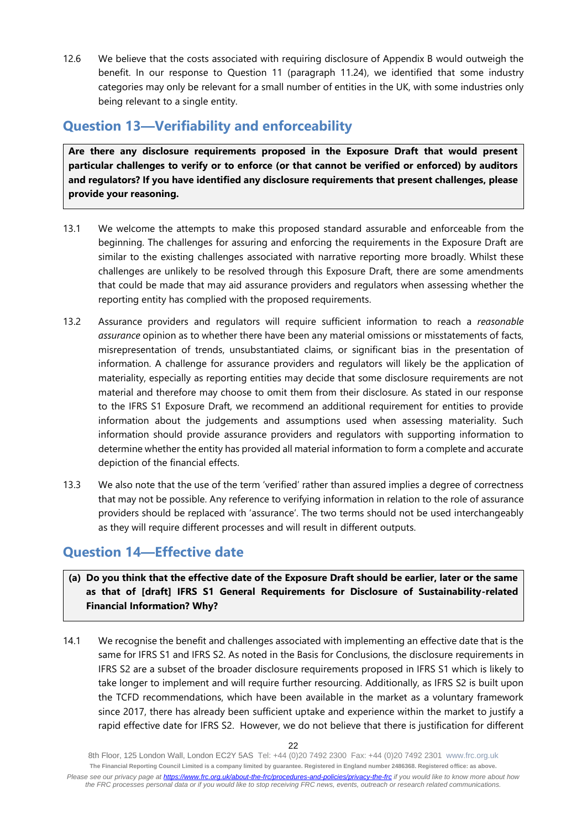12.6 We believe that the costs associated with requiring disclosure of Appendix B would outweigh the benefit. In our response to Question 11 (paragraph 11.24), we identified that some industry categories may only be relevant for a small number of entities in the UK, with some industries only being relevant to a single entity.

# **Question 13—Verifiability and enforceability**

**Are there any disclosure requirements proposed in the Exposure Draft that would present particular challenges to verify or to enforce (or that cannot be verified or enforced) by auditors and regulators? If you have identified any disclosure requirements that present challenges, please provide your reasoning.**

- 13.1 We welcome the attempts to make this proposed standard assurable and enforceable from the beginning. The challenges for assuring and enforcing the requirements in the Exposure Draft are similar to the existing challenges associated with narrative reporting more broadly. Whilst these challenges are unlikely to be resolved through this Exposure Draft, there are some amendments that could be made that may aid assurance providers and regulators when assessing whether the reporting entity has complied with the proposed requirements.
- 13.2 Assurance providers and regulators will require sufficient information to reach a *reasonable assurance* opinion as to whether there have been any material omissions or misstatements of facts, misrepresentation of trends, unsubstantiated claims, or significant bias in the presentation of information. A challenge for assurance providers and regulators will likely be the application of materiality, especially as reporting entities may decide that some disclosure requirements are not material and therefore may choose to omit them from their disclosure. As stated in our response to the IFRS S1 Exposure Draft, we recommend an additional requirement for entities to provide information about the judgements and assumptions used when assessing materiality. Such information should provide assurance providers and regulators with supporting information to determine whether the entity has provided all material information to form a complete and accurate depiction of the financial effects.
- 13.3 We also note that the use of the term 'verified' rather than assured implies a degree of correctness that may not be possible. Any reference to verifying information in relation to the role of assurance providers should be replaced with 'assurance'. The two terms should not be used interchangeably as they will require different processes and will result in different outputs.

# **Question 14—Effective date**

### **(a) Do you think that the effective date of the Exposure Draft should be earlier, later or the same as that of [draft] IFRS S1 General Requirements for Disclosure of Sustainability-related Financial Information? Why?**

14.1 We recognise the benefit and challenges associated with implementing an effective date that is the same for IFRS S1 and IFRS S2. As noted in the Basis for Conclusions, the disclosure requirements in IFRS S2 are a subset of the broader disclosure requirements proposed in IFRS S1 which is likely to take longer to implement and will require further resourcing. Additionally, as IFRS S2 is built upon the TCFD recommendations, which have been available in the market as a voluntary framework since 2017, there has already been sufficient uptake and experience within the market to justify a rapid effective date for IFRS S2. However, we do not believe that there is justification for different

<sup>8</sup>th Floor, 125 London Wall, London EC2Y 5AS Tel: +44 (0)20 7492 2300 Fax: +44 (0)20 7492 2301 [www.frc.org.uk](http://www.frc.org.uk/) **The Financial Reporting Council Limited is a company limited by guarantee. Registered in England number 2486368. Registered office: as above.** *Please see our privacy page at [https://www.frc.org.uk/about-the-frc/procedures-and-policies/privacy-the-frc](https://protect-eu.mimecast.com/s/meSwCVPQETYrOJIgd9IO) if you would like to know more about how the FRC processes personal data or if you would like to stop receiving FRC news, events, outreach or research related communications.*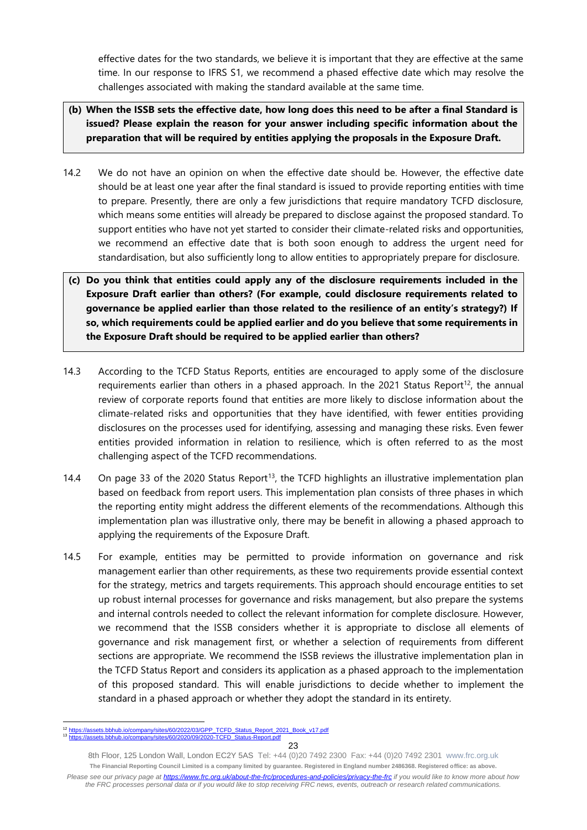effective dates for the two standards, we believe it is important that they are effective at the same time. In our response to IFRS S1, we recommend a phased effective date which may resolve the challenges associated with making the standard available at the same time.

- **(b) When the ISSB sets the effective date, how long does this need to be after a final Standard is issued? Please explain the reason for your answer including specific information about the preparation that will be required by entities applying the proposals in the Exposure Draft.**
- 14.2 We do not have an opinion on when the effective date should be. However, the effective date should be at least one year after the final standard is issued to provide reporting entities with time to prepare. Presently, there are only a few jurisdictions that require mandatory TCFD disclosure, which means some entities will already be prepared to disclose against the proposed standard. To support entities who have not yet started to consider their climate-related risks and opportunities, we recommend an effective date that is both soon enough to address the urgent need for standardisation, but also sufficiently long to allow entities to appropriately prepare for disclosure.
- **(c) Do you think that entities could apply any of the disclosure requirements included in the Exposure Draft earlier than others? (For example, could disclosure requirements related to governance be applied earlier than those related to the resilience of an entity's strategy?) If so, which requirements could be applied earlier and do you believe that some requirements in the Exposure Draft should be required to be applied earlier than others?**
- 14.3 According to the TCFD Status Reports, entities are encouraged to apply some of the disclosure requirements earlier than others in a phased approach. In the 2021 Status Report<sup>12</sup>, the annual review of corporate reports found that entities are more likely to disclose information about the climate-related risks and opportunities that they have identified, with fewer entities providing disclosures on the processes used for identifying, assessing and managing these risks. Even fewer entities provided information in relation to resilience, which is often referred to as the most challenging aspect of the TCFD recommendations.
- 14.4 On page 33 of the 2020 Status Report<sup>13</sup>, the TCFD highlights an illustrative implementation plan based on feedback from report users. This implementation plan consists of three phases in which the reporting entity might address the different elements of the recommendations. Although this implementation plan was illustrative only, there may be benefit in allowing a phased approach to applying the requirements of the Exposure Draft.
- 14.5 For example, entities may be permitted to provide information on governance and risk management earlier than other requirements, as these two requirements provide essential context for the strategy, metrics and targets requirements. This approach should encourage entities to set up robust internal processes for governance and risks management, but also prepare the systems and internal controls needed to collect the relevant information for complete disclosure. However, we recommend that the ISSB considers whether it is appropriate to disclose all elements of governance and risk management first, or whether a selection of requirements from different sections are appropriate. We recommend the ISSB reviews the illustrative implementation plan in the TCFD Status Report and considers its application as a phased approach to the implementation of this proposed standard. This will enable jurisdictions to decide whether to implement the standard in a phased approach or whether they adopt the standard in its entirety.

<sup>.</sup>bbhub.io/company/sites/60/2022/03/GPP\_TCFD\_Status\_Report\_2021\_Book\_v17.pdf 2020-TCFD\_Status-Report.pdf

<sup>8</sup>th Floor, 125 London Wall, London EC2Y 5AS Tel: +44 (0)20 7492 2300 Fax: +44 (0)20 7492 2301 [www.frc.org.uk](http://www.frc.org.uk/) **The Financial Reporting Council Limited is a company limited by guarantee. Registered in England number 2486368. Registered office: as above.** *Please see our privacy page at [https://www.frc.org.uk/about-the-frc/procedures-and-policies/privacy-the-frc](https://protect-eu.mimecast.com/s/meSwCVPQETYrOJIgd9IO) if you would like to know more about how the FRC processes personal data or if you would like to stop receiving FRC news, events, outreach or research related communications.*